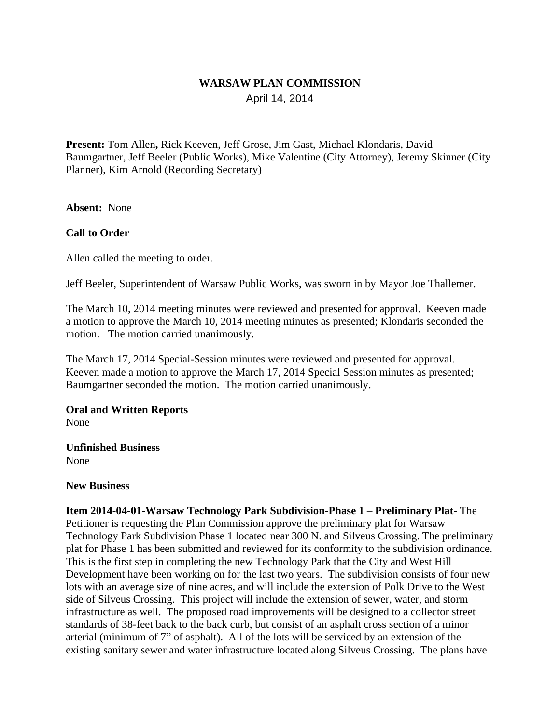## **WARSAW PLAN COMMISSION** April 14, 2014

**Present:** Tom Allen**,** Rick Keeven, Jeff Grose, Jim Gast, Michael Klondaris, David Baumgartner, Jeff Beeler (Public Works), Mike Valentine (City Attorney), Jeremy Skinner (City Planner), Kim Arnold (Recording Secretary)

**Absent:** None

## **Call to Order**

Allen called the meeting to order.

Jeff Beeler, Superintendent of Warsaw Public Works, was sworn in by Mayor Joe Thallemer.

The March 10, 2014 meeting minutes were reviewed and presented for approval. Keeven made a motion to approve the March 10, 2014 meeting minutes as presented; Klondaris seconded the motion. The motion carried unanimously.

The March 17, 2014 Special-Session minutes were reviewed and presented for approval. Keeven made a motion to approve the March 17, 2014 Special Session minutes as presented; Baumgartner seconded the motion. The motion carried unanimously.

# **Oral and Written Reports**

None

#### **Unfinished Business** None

### **New Business**

**Item 2014-04-01-Warsaw Technology Park Subdivision-Phase 1 – Preliminary Plat-The** Petitioner is requesting the Plan Commission approve the preliminary plat for Warsaw Technology Park Subdivision Phase 1 located near 300 N. and Silveus Crossing. The preliminary plat for Phase 1 has been submitted and reviewed for its conformity to the subdivision ordinance. This is the first step in completing the new Technology Park that the City and West Hill Development have been working on for the last two years. The subdivision consists of four new lots with an average size of nine acres, and will include the extension of Polk Drive to the West side of Silveus Crossing. This project will include the extension of sewer, water, and storm infrastructure as well. The proposed road improvements will be designed to a collector street standards of 38-feet back to the back curb, but consist of an asphalt cross section of a minor arterial (minimum of 7" of asphalt). All of the lots will be serviced by an extension of the existing sanitary sewer and water infrastructure located along Silveus Crossing. The plans have